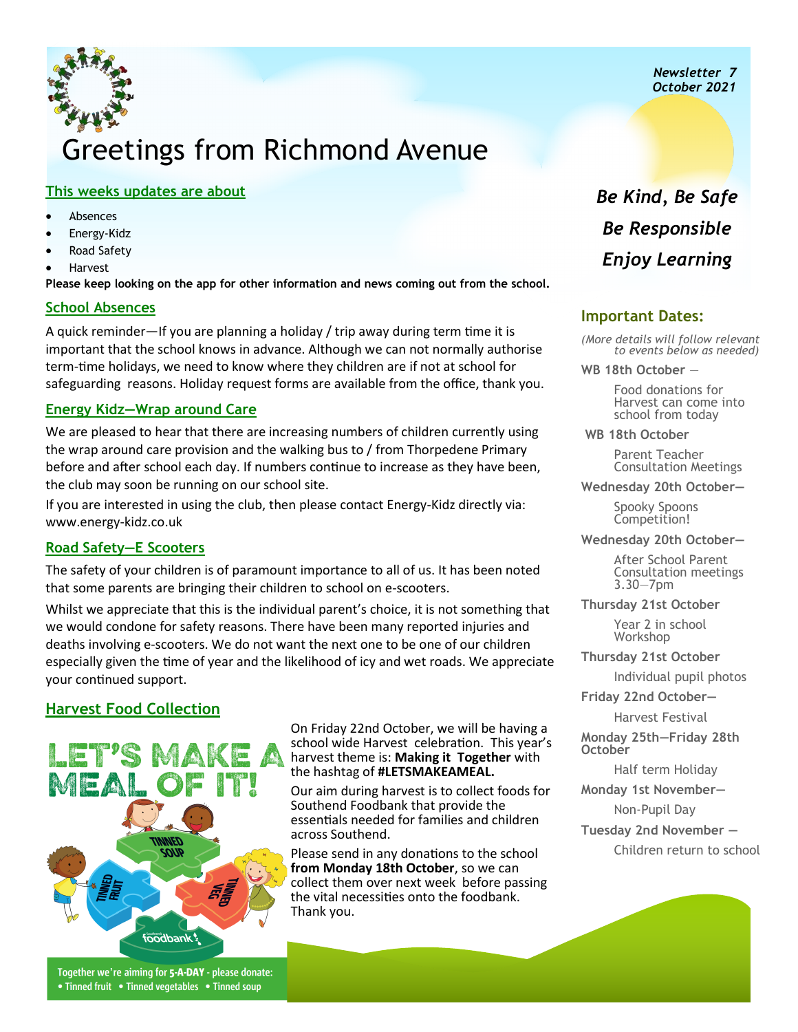*Newsletter 7 October 2021*

# Greetings from Richmond Avenue

#### **This weeks updates are about**

- **Absences**
- Energy-Kidz
- Road Safety
- Harvest

**Please keep looking on the app for other information and news coming out from the school.**

### **School Absences**

A quick reminder—If you are planning a holiday / trip away during term time it is important that the school knows in advance. Although we can not normally authorise term-time holidays, we need to know where they children are if not at school for safeguarding reasons. Holiday request forms are available from the office, thank you.

#### **Energy Kidz—Wrap around Care**

We are pleased to hear that there are increasing numbers of children currently using the wrap around care provision and the walking bus to / from Thorpedene Primary before and after school each day. If numbers continue to increase as they have been, the club may soon be running on our school site.

If you are interested in using the club, then please contact Energy-Kidz directly via: www.energy-kidz.co.uk

### **Road Safety—E Scooters**

The safety of your children is of paramount importance to all of us. It has been noted that some parents are bringing their children to school on e-scooters.

Whilst we appreciate that this is the individual parent's choice, it is not something that we would condone for safety reasons. There have been many reported injuries and deaths involving e-scooters. We do not want the next one to be one of our children especially given the time of year and the likelihood of icy and wet roads. We appreciate your continued support.

# **Harvest Food Collection**



On Friday 22nd October, we will be having a school wide Harvest celebration. This year's harvest theme is: **Making it Together** with the hashtag of **#LETSMAKEAMEAL.** 

Our aim during harvest is to collect foods for Southend Foodbank that provide the essentials needed for families and children across Southend.

Please send in any donations to the school **from Monday 18th October**, so we can collect them over next week before passing the vital necessities onto the foodbank. Thank you.

# *Be Kind, Be Safe Be Responsible Enjoy Learning*

## **Important Dates:**

*(More details will follow relevant to events below as needed)* 

**WB 18th October** —

Food donations for Harvest can come into school from today

**WB 18th October** 

Parent Teacher Consultation Meetings

**Wednesday 20th October—**

Spooky Spoons Competition!

**Wednesday 20th October—**

After School Parent Consultation meetings 3.30—7pm

**Thursday 21st October**

Year 2 in school **Workshop** 

**Thursday 21st October**

Individual pupil photos

**Friday 22nd October—**

Harvest Festival

**Monday 25th—Friday 28th October** 

Half term Holiday

**Monday 1st November—**

Non-Pupil Day

**Tuesday 2nd November —**

Children return to school

Together we're aiming for 5-A-DAY - please donate: • Tinned fruit • Tinned vegetables • Tinned soup